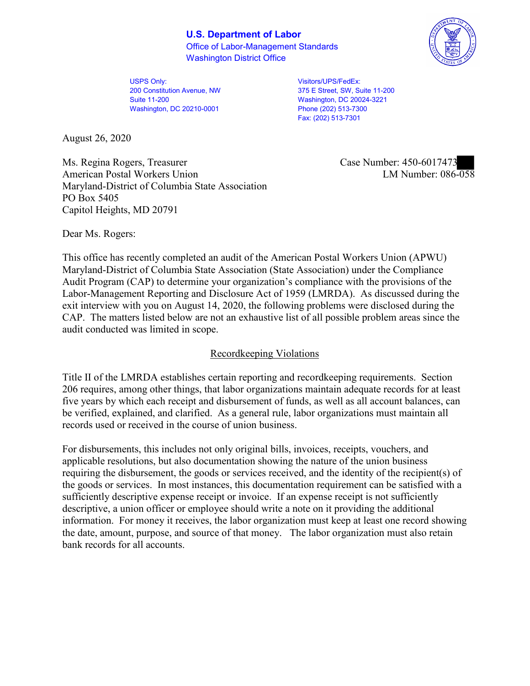## **U.S. Department of Labor**  Office of Labor-Management Standards Washington District Office



USPS Only: 200 Constitution Avenue, NW Suite 11-200 Washington, DC 20210-0001

 375 E Street, SW, Suite 11-200 Visitors/UPS/FedEx: Washington, DC 20024-3221 Phone (202) 513-7300 Fax: (202) 513-7301

August 26, 2020

Ms. Regina Rogers, Treasurer American Postal Workers Union Maryland-District of Columbia State Association PO Box 5405 Capitol Heights, MD 20791

Case Number: 450-6017473<br>
LM Number: 086-058

Dear Ms. Rogers:

 This office has recently completed an audit of the American Postal Workers Union (APWU) Maryland-District of Columbia State Association (State Association) under the Compliance Audit Program (CAP) to determine your organization's compliance with the provisions of the Labor-Management Reporting and Disclosure Act of 1959 (LMRDA). As discussed during the exit interview with you on August 14, 2020, the following problems were disclosed during the CAP. The matters listed below are not an exhaustive list of all possible problem areas since the audit conducted was limited in scope.

## Recordkeeping Violations

 Title II of the LMRDA establishes certain reporting and recordkeeping requirements. Section 206 requires, among other things, that labor organizations maintain adequate records for at least five years by which each receipt and disbursement of funds, as well as all account balances, can be verified, explained, and clarified. As a general rule, labor organizations must maintain all records used or received in the course of union business.

For disbursements, this includes not only original bills, invoices, receipts, vouchers, and applicable resolutions, but also documentation showing the nature of the union business requiring the disbursement, the goods or services received, and the identity of the recipient(s) of the goods or services. In most instances, this documentation requirement can be satisfied with a sufficiently descriptive expense receipt or invoice. If an expense receipt is not sufficiently descriptive, a union officer or employee should write a note on it providing the additional information. For money it receives, the labor organization must keep at least one record showing the date, amount, purpose, and source of that money. The labor organization must also retain bank records for all accounts.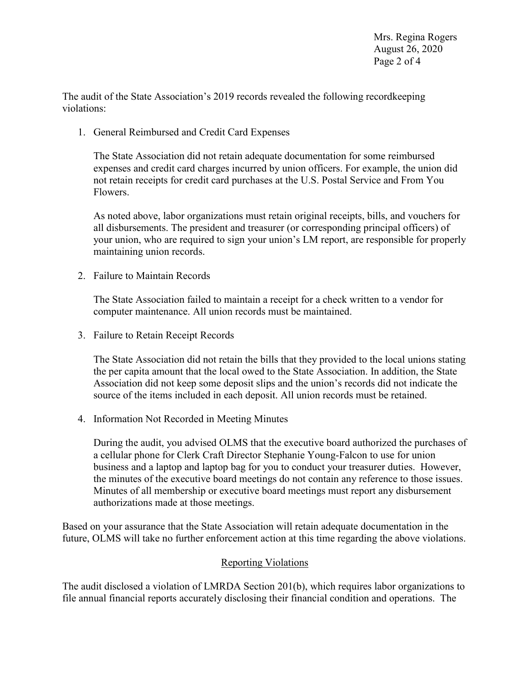The audit of the State Association's 2019 records revealed the following recordkeeping violations:

1. General Reimbursed and Credit Card Expenses

The State Association did not retain adequate documentation for some reimbursed expenses and credit card charges incurred by union officers. For example, the union did not retain receipts for credit card purchases at the U.S. Postal Service and From You Flowers.

 all disbursements. The president and treasurer (or corresponding principal officers) of As noted above, labor organizations must retain original receipts, bills, and vouchers for your union, who are required to sign your union's LM report, are responsible for properly maintaining union records.

2. Failure to Maintain Records

The State Association failed to maintain a receipt for a check written to a vendor for computer maintenance. All union records must be maintained.

3. Failure to Retain Receipt Records

The State Association did not retain the bills that they provided to the local unions stating the per capita amount that the local owed to the State Association. In addition, the State Association did not keep some deposit slips and the union's records did not indicate the source of the items included in each deposit. All union records must be retained.

4. Information Not Recorded in Meeting Minutes

 business and a laptop and laptop bag for you to conduct your treasurer duties. However, During the audit, you advised OLMS that the executive board authorized the purchases of a cellular phone for Clerk Craft Director Stephanie Young-Falcon to use for union the minutes of the executive board meetings do not contain any reference to those issues. Minutes of all membership or executive board meetings must report any disbursement authorizations made at those meetings.

Based on your assurance that the State Association will retain adequate documentation in the future, OLMS will take no further enforcement action at this time regarding the above violations.

## Reporting Violations

The audit disclosed a violation of LMRDA Section 201(b), which requires labor organizations to file annual financial reports accurately disclosing their financial condition and operations. The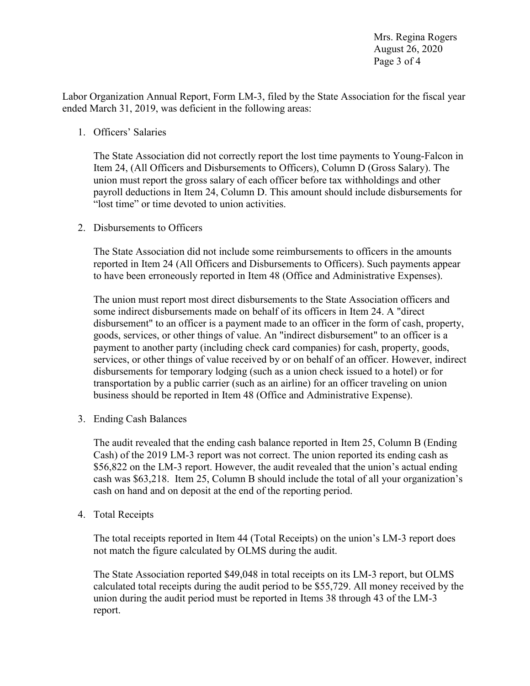Labor Organization Annual Report, Form LM-3, filed by the State Association for the fiscal year ended March 31, 2019, was deficient in the following areas:

## 1. Officers' Salaries

The State Association did not correctly report the lost time payments to Young-Falcon in Item 24, (All Officers and Disbursements to Officers), Column D (Gross Salary). The union must report the gross salary of each officer before tax withholdings and other payroll deductions in Item 24, Column D. This amount should include disbursements for "lost time" or time devoted to union activities.

2. Disbursements to Officers

The State Association did not include some reimbursements to officers in the amounts reported in Item 24 (All Officers and Disbursements to Officers). Such payments appear to have been erroneously reported in Item 48 (Office and Administrative Expenses).

 some indirect disbursements made on behalf of its officers in Item 24. A "direct disbursement" to an officer is a payment made to an officer in the form of cash, property, goods, services, or other things of value. An "indirect disbursement" to an officer is a disbursements for temporary lodging (such as a union check issued to a hotel) or for transportation by a public carrier (such as an airline) for an officer traveling on union The union must report most direct disbursements to the State Association officers and payment to another party (including check card companies) for cash, property, goods, services, or other things of value received by or on behalf of an officer. However, indirect business should be reported in Item 48 (Office and Administrative Expense).

3. Ending Cash Balances

 The audit revealed that the ending cash balance reported in Item 25, Column B (Ending cash was \$63,218. Item 25, Column B should include the total of all your organization's Cash) of the 2019 LM-3 report was not correct. The union reported its ending cash as \$56,822 on the LM-3 report. However, the audit revealed that the union's actual ending cash on hand and on deposit at the end of the reporting period.

4. Total Receipts

The total receipts reported in Item 44 (Total Receipts) on the union's LM-3 report does not match the figure calculated by OLMS during the audit.

The State Association reported \$49,048 in total receipts on its LM-3 report, but OLMS calculated total receipts during the audit period to be \$55,729. All money received by the union during the audit period must be reported in Items 38 through 43 of the LM-3 report.